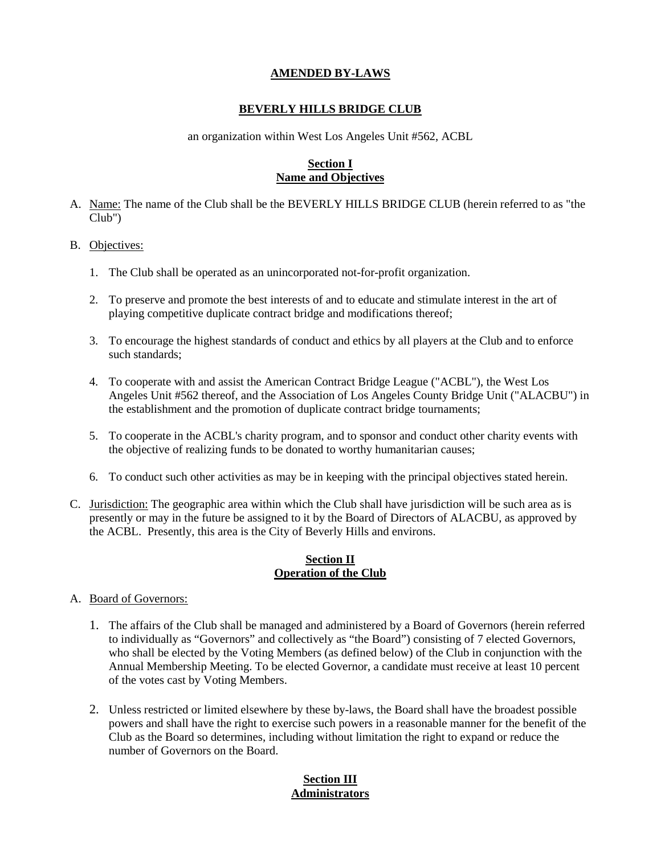#### **AMENDED BY-LAWS**

#### **BEVERLY HILLS BRIDGE CLUB**

an organization within West Los Angeles Unit #562, ACBL

#### **Section I Name and Objectives**

- A. Name: The name of the Club shall be the BEVERLY HILLS BRIDGE CLUB (herein referred to as "the Club")
- B. Objectives:
	- 1. The Club shall be operated as an unincorporated not-for-profit organization.
	- 2. To preserve and promote the best interests of and to educate and stimulate interest in the art of playing competitive duplicate contract bridge and modifications thereof;
	- 3. To encourage the highest standards of conduct and ethics by all players at the Club and to enforce such standards;
	- 4. To cooperate with and assist the American Contract Bridge League ("ACBL"), the West Los Angeles Unit #562 thereof, and the Association of Los Angeles County Bridge Unit ("ALACBU") in the establishment and the promotion of duplicate contract bridge tournaments;
	- 5. To cooperate in the ACBL's charity program, and to sponsor and conduct other charity events with the objective of realizing funds to be donated to worthy humanitarian causes;
	- 6. To conduct such other activities as may be in keeping with the principal objectives stated herein.
- C. Jurisdiction: The geographic area within which the Club shall have jurisdiction will be such area as is presently or may in the future be assigned to it by the Board of Directors of ALACBU, as approved by the ACBL. Presently, this area is the City of Beverly Hills and environs.

#### **Section II Operation of the Club**

- A. Board of Governors:
	- 1. The affairs of the Club shall be managed and administered by a Board of Governors (herein referred to individually as "Governors" and collectively as "the Board") consisting of 7 elected Governors, who shall be elected by the Voting Members (as defined below) of the Club in conjunction with the Annual Membership Meeting. To be elected Governor, a candidate must receive at least 10 percent of the votes cast by Voting Members.
	- 2. Unless restricted or limited elsewhere by these by-laws, the Board shall have the broadest possible powers and shall have the right to exercise such powers in a reasonable manner for the benefit of the Club as the Board so determines, including without limitation the right to expand or reduce the number of Governors on the Board.

## **Section III Administrators**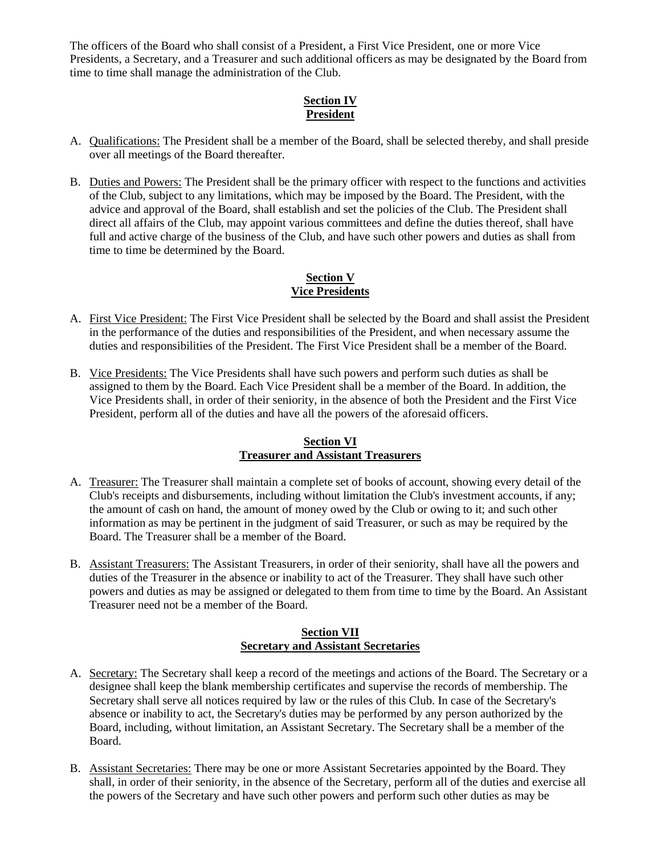The officers of the Board who shall consist of a President, a First Vice President, one or more Vice Presidents, a Secretary, and a Treasurer and such additional officers as may be designated by the Board from time to time shall manage the administration of the Club.

## **Section IV President**

- A. Qualifications: The President shall be a member of the Board, shall be selected thereby, and shall preside over all meetings of the Board thereafter.
- B. Duties and Powers: The President shall be the primary officer with respect to the functions and activities of the Club, subject to any limitations, which may be imposed by the Board. The President, with the advice and approval of the Board, shall establish and set the policies of the Club. The President shall direct all affairs of the Club, may appoint various committees and define the duties thereof, shall have full and active charge of the business of the Club, and have such other powers and duties as shall from time to time be determined by the Board.

## **Section V Vice Presidents**

- A. First Vice President: The First Vice President shall be selected by the Board and shall assist the President in the performance of the duties and responsibilities of the President, and when necessary assume the duties and responsibilities of the President. The First Vice President shall be a member of the Board.
- B. Vice Presidents: The Vice Presidents shall have such powers and perform such duties as shall be assigned to them by the Board. Each Vice President shall be a member of the Board. In addition, the Vice Presidents shall, in order of their seniority, in the absence of both the President and the First Vice President, perform all of the duties and have all the powers of the aforesaid officers.

## **Section VI Treasurer and Assistant Treasurers**

- A. Treasurer: The Treasurer shall maintain a complete set of books of account, showing every detail of the Club's receipts and disbursements, including without limitation the Club's investment accounts, if any; the amount of cash on hand, the amount of money owed by the Club or owing to it; and such other information as may be pertinent in the judgment of said Treasurer, or such as may be required by the Board. The Treasurer shall be a member of the Board.
- B. Assistant Treasurers: The Assistant Treasurers, in order of their seniority, shall have all the powers and duties of the Treasurer in the absence or inability to act of the Treasurer. They shall have such other powers and duties as may be assigned or delegated to them from time to time by the Board. An Assistant Treasurer need not be a member of the Board.

## **Section VII Secretary and Assistant Secretaries**

- A. Secretary: The Secretary shall keep a record of the meetings and actions of the Board. The Secretary or a designee shall keep the blank membership certificates and supervise the records of membership. The Secretary shall serve all notices required by law or the rules of this Club. In case of the Secretary's absence or inability to act, the Secretary's duties may be performed by any person authorized by the Board, including, without limitation, an Assistant Secretary. The Secretary shall be a member of the Board.
- B. Assistant Secretaries: There may be one or more Assistant Secretaries appointed by the Board. They shall, in order of their seniority, in the absence of the Secretary, perform all of the duties and exercise all the powers of the Secretary and have such other powers and perform such other duties as may be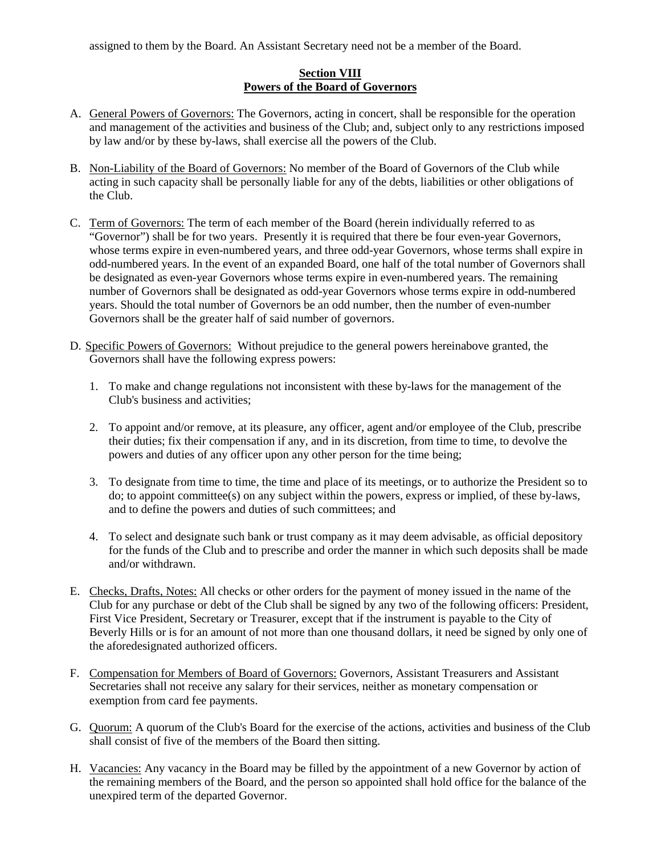assigned to them by the Board. An Assistant Secretary need not be a member of the Board.

#### **Section VIII Powers of the Board of Governors**

- A. General Powers of Governors: The Governors, acting in concert, shall be responsible for the operation and management of the activities and business of the Club; and, subject only to any restrictions imposed by law and/or by these by-laws, shall exercise all the powers of the Club.
- B. Non-Liability of the Board of Governors: No member of the Board of Governors of the Club while acting in such capacity shall be personally liable for any of the debts, liabilities or other obligations of the Club.
- C. Term of Governors: The term of each member of the Board (herein individually referred to as "Governor") shall be for two years. Presently it is required that there be four even-year Governors, whose terms expire in even-numbered years, and three odd-year Governors, whose terms shall expire in odd-numbered years. In the event of an expanded Board, one half of the total number of Governors shall be designated as even-year Governors whose terms expire in even-numbered years. The remaining number of Governors shall be designated as odd-year Governors whose terms expire in odd-numbered years. Should the total number of Governors be an odd number, then the number of even-number Governors shall be the greater half of said number of governors.
- D. Specific Powers of Governors: Without prejudice to the general powers hereinabove granted, the Governors shall have the following express powers:
	- 1. To make and change regulations not inconsistent with these by-laws for the management of the Club's business and activities;
	- 2. To appoint and/or remove, at its pleasure, any officer, agent and/or employee of the Club, prescribe their duties; fix their compensation if any, and in its discretion, from time to time, to devolve the powers and duties of any officer upon any other person for the time being;
	- 3. To designate from time to time, the time and place of its meetings, or to authorize the President so to do; to appoint committee(s) on any subject within the powers, express or implied, of these by-laws, and to define the powers and duties of such committees; and
	- 4. To select and designate such bank or trust company as it may deem advisable, as official depository for the funds of the Club and to prescribe and order the manner in which such deposits shall be made and/or withdrawn.
- E. Checks, Drafts, Notes: All checks or other orders for the payment of money issued in the name of the Club for any purchase or debt of the Club shall be signed by any two of the following officers: President, First Vice President, Secretary or Treasurer, except that if the instrument is payable to the City of Beverly Hills or is for an amount of not more than one thousand dollars, it need be signed by only one of the aforedesignated authorized officers.
- F. Compensation for Members of Board of Governors: Governors, Assistant Treasurers and Assistant Secretaries shall not receive any salary for their services, neither as monetary compensation or exemption from card fee payments.
- G. Quorum: A quorum of the Club's Board for the exercise of the actions, activities and business of the Club shall consist of five of the members of the Board then sitting.
- H. Vacancies: Any vacancy in the Board may be filled by the appointment of a new Governor by action of the remaining members of the Board, and the person so appointed shall hold office for the balance of the unexpired term of the departed Governor.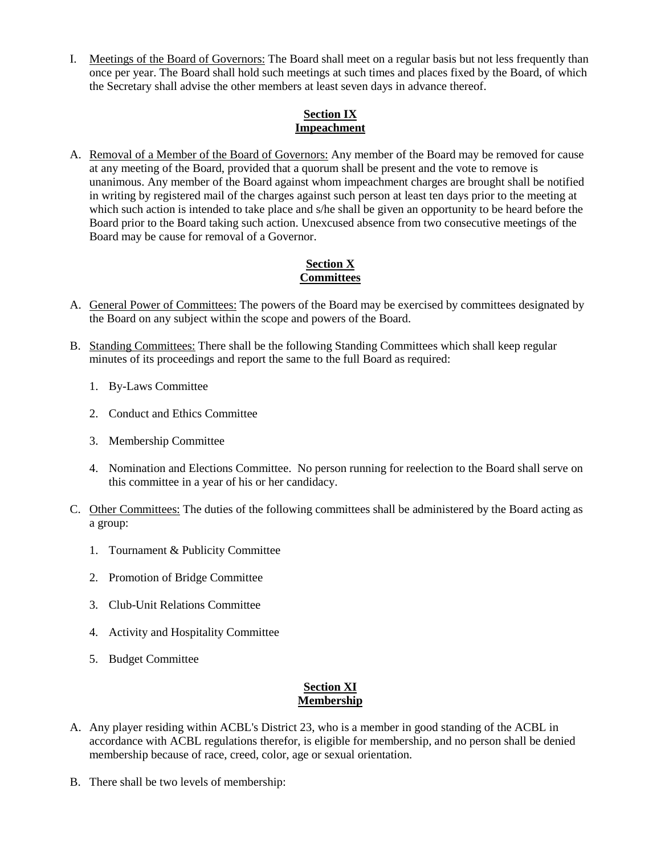I. Meetings of the Board of Governors: The Board shall meet on a regular basis but not less frequently than once per year. The Board shall hold such meetings at such times and places fixed by the Board, of which the Secretary shall advise the other members at least seven days in advance thereof.

## **Section IX Impeachment**

A. Removal of a Member of the Board of Governors: Any member of the Board may be removed for cause at any meeting of the Board, provided that a quorum shall be present and the vote to remove is unanimous. Any member of the Board against whom impeachment charges are brought shall be notified in writing by registered mail of the charges against such person at least ten days prior to the meeting at which such action is intended to take place and s/he shall be given an opportunity to be heard before the Board prior to the Board taking such action. Unexcused absence from two consecutive meetings of the Board may be cause for removal of a Governor.

## **Section X Committees**

- A. General Power of Committees: The powers of the Board may be exercised by committees designated by the Board on any subject within the scope and powers of the Board.
- B. Standing Committees: There shall be the following Standing Committees which shall keep regular minutes of its proceedings and report the same to the full Board as required:
	- 1. By-Laws Committee
	- 2. Conduct and Ethics Committee
	- 3. Membership Committee
	- 4. Nomination and Elections Committee. No person running for reelection to the Board shall serve on this committee in a year of his or her candidacy.
- C. Other Committees: The duties of the following committees shall be administered by the Board acting as a group:
	- 1. Tournament & Publicity Committee
	- 2. Promotion of Bridge Committee
	- 3. Club-Unit Relations Committee
	- 4. Activity and Hospitality Committee
	- 5. Budget Committee

## **Section XI Membership**

- A. Any player residing within ACBL's District 23, who is a member in good standing of the ACBL in accordance with ACBL regulations therefor, is eligible for membership, and no person shall be denied membership because of race, creed, color, age or sexual orientation.
- B. There shall be two levels of membership: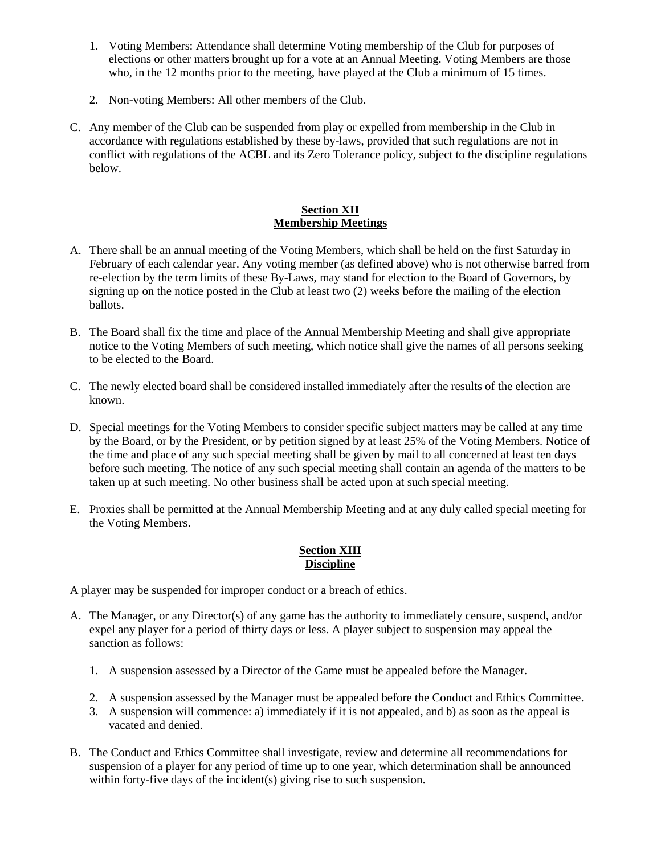- 1. Voting Members: Attendance shall determine Voting membership of the Club for purposes of elections or other matters brought up for a vote at an Annual Meeting. Voting Members are those who, in the 12 months prior to the meeting, have played at the Club a minimum of 15 times.
- 2. Non-voting Members: All other members of the Club.
- C. Any member of the Club can be suspended from play or expelled from membership in the Club in accordance with regulations established by these by-laws, provided that such regulations are not in conflict with regulations of the ACBL and its Zero Tolerance policy, subject to the discipline regulations below.

## **Section XII Membership Meetings**

- A. There shall be an annual meeting of the Voting Members, which shall be held on the first Saturday in February of each calendar year. Any voting member (as defined above) who is not otherwise barred from re-election by the term limits of these By-Laws, may stand for election to the Board of Governors, by signing up on the notice posted in the Club at least two (2) weeks before the mailing of the election ballots.
- B. The Board shall fix the time and place of the Annual Membership Meeting and shall give appropriate notice to the Voting Members of such meeting, which notice shall give the names of all persons seeking to be elected to the Board.
- C. The newly elected board shall be considered installed immediately after the results of the election are known.
- D. Special meetings for the Voting Members to consider specific subject matters may be called at any time by the Board, or by the President, or by petition signed by at least 25% of the Voting Members. Notice of the time and place of any such special meeting shall be given by mail to all concerned at least ten days before such meeting. The notice of any such special meeting shall contain an agenda of the matters to be taken up at such meeting. No other business shall be acted upon at such special meeting.
- E. Proxies shall be permitted at the Annual Membership Meeting and at any duly called special meeting for the Voting Members.

## **Section XIII Discipline**

A player may be suspended for improper conduct or a breach of ethics.

- A. The Manager, or any Director(s) of any game has the authority to immediately censure, suspend, and/or expel any player for a period of thirty days or less. A player subject to suspension may appeal the sanction as follows:
	- 1. A suspension assessed by a Director of the Game must be appealed before the Manager.
	- 2. A suspension assessed by the Manager must be appealed before the Conduct and Ethics Committee.
	- 3. A suspension will commence: a) immediately if it is not appealed, and b) as soon as the appeal is vacated and denied.
- B. The Conduct and Ethics Committee shall investigate, review and determine all recommendations for suspension of a player for any period of time up to one year, which determination shall be announced within forty-five days of the incident(s) giving rise to such suspension.